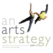# $\overline{C}$ for Warwick District Council 2009-13

Written by Katie Daniels, 2008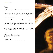# Preface

I am delighted to have the opportunity to write the foreword to the new Arts Strategy for Warwick District Council.

This document is the result of extensive consultation between different organisations and interested groups across the district. The strategy was adopted by the council's Executive in December 2008, and will form the starting point for a way forward for arts within the district until 2013.

Its purpose is to be a flexible and 'live' reference point, and a guide for arts organisations that already work with, or hope to work with, the council. The Action Plan should be seen as a framework within which the council can make effective use of the available resources towards supporting the local arts scene for the benefit of residents, visitors and those active in the sector.

The uncertainty presented by the current economic climate will create both challenges and opportunities for the arts sector throughout the country. However, this strategy highlights how, in Warwick District, we have a thriving and vibrant arts community, and demonstrates the council's continued commitment to such an essential and valued part of our lives.

Chan White

Councillor Chris White, Portfolio Holder for Culture at Warwick District Council

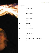

| $\overline{2}$ | Executive Summary                                   |
|----------------|-----------------------------------------------------|
| Page           | Section                                             |
| 5              | Acknowledgements                                    |
| 6              | Introduction                                        |
| 9              | National context                                    |
| 2              | Regional context                                    |
| 4              | Local context                                       |
| 16             | About the District                                  |
| 9              | The local arts scene                                |
| 26             | Warwick District Council's Arts Development service |
| 30             | <b>Consultation Process</b>                         |
| 32             | Questionnaire results                               |
| 34             | A note about the scope of the Arts Strategy         |
| 36             | Action Plan                                         |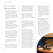## Resource recommendations

# Executive Summary

- **1.** The Arts Strategy explores current arts provision within the District and includes an Action Plan. The Action Plan is intended to provide a framework for the delivery of the Council's Arts Development service until 2013.
- **2.** The Arts Development service covers a wide range of artforms including visual arts and photography, crafts, 3D arts and sculpture, film and digital arts, dance, theatre, music and opera, street arts, and creative writing.
- **3.** The Arts Strategy Action Plan also looks at how the Arts Development service might feed in to public art initiatives in partnership with the relevant Warwick District Council Economic Development staff.
- **4.** The Strategy also considers the relationship of the arts to cultural tourism.
- 5. An<br>has<br>one **5.** An intensive consultation process has taken place including one-toone interviews, public consultation

meetings and online questionnaires. The Themes, Strategic Aims and Objectives of the Arts Strategy Action Plan have been identified through the consultation process.

- **6.** The period covered by the Arts Strategy includes the Cultural Olympiad – a national initiative linked to the London 2012 Olympic Games.
- **7.** The Arts Strategy aims to reflect the key themes of the Warwickshire Local Area Agreement 2008–2011 and the objectives of the Warwick District Council Corporate Strategy 2008–2011.
- **8.** Warwick District is culturally rich and has a vibrant and active local arts community together with a confident and high profile professional arts sector. The District is proud of its cultural heritage and boasts a high level of arts provision. It compares well to other areas. Music and visual arts are particularly strong. There are also a large number of annual cultural festivals. The District Council's commitment to and investment in the arts has been important in maintaining this excellent level of arts provision.

Activity that is currently less well developed includes grass roots community work with hard to reach groups, including black and minority ethnic communities; public art as a strategic area of work; innovation and risk within the arts; and monitoring and evaluation of arts activity.

**9.** A Cultural Quarter for the area is being developed in south Leamington, with its hub at Spencer Yard. Advantage West Midlands has made an offer of funding for the second phase of the redevelopment works. The Cultural Quarter and the redevelopment of Spencer Yard present exciting arts opportunity and potential for the area. However, the site currently suffers from poor public access, signage and lighting and a lack of

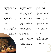public information/understanding about what the Cultural Quarter is and its potential benefits to the area. The Arts Strategy Action Plan suggests a number of steps that might be taken towards addressing these issues.

- **10.** The Arts Development Service is currently staffed by one part-time Arts Development Officer [ADO] (20.5 hours per week), based within the Cultural Services Unit and reporting to the Heritage & Arts Manager.
- **11.** The consultation process for this Arts Strategy showed that people greatly valued the arts development services provided by Warwick District Council and the one-to-one support provided by the ADO. However, stakeholders felt that the part-time

role limited the capacity of what the Officer could achieve and was insufficient to fulfil the demands of the role.

- **12.** The role of ADO is a broad one, encompassing all the artforms listed at point 2 above. In order for the role to function in a strategic way, within the limitations of the time and resources available, the direct organisation of events is not the best use of this role. Instead, the role should exist to support and facilitate other arts providers. The Arts Strategy consultation process identified a number of ways in which this could be done. This approach also helps to ensure the sustainability of arts development work, by 'skilling up' local providers.
- **13.** It is important to ensure that the process for obtaining financial support for arts activity from Warwick District Council is transparent, accessible and properly monitored. This Arts Strategy recommends that organisations should access Arts Development funding either through the Key Clients arrangements as part of the Coventry, Solihull & Warwickshire Arts Partnership, or through a

new Arts Development Grants scheme based on the current Cultural Grants scheme. The Strategy recommends an increase in both the Council's Key Clients and Grants budgets to address this, through the reallocation of existing Arts Development resources.

- **14.** If the number of Arts Development Officer hours remains the same, this will limit the ability of the Arts Development Service to achieve all of the proposed actions in the Arts Strategy Action Plan. Some of the proposed actions require either additional Arts Development Officer hours or external funding in order to be achievable. These actions are indicated within the Action Plan and where possible, sources of external funding have been identified.
- 3 **15.** The Arts Strategy Action Plan has three key Themes. Each theme has a Strategic Aim and a number of Objectives. Each Objective has proposed actions associated with it. The Themes, Strategic Aims and Objectives are shown below.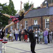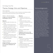# Arts Strategy Action Plan:

# Themes, Strategic Aims and Objectives

#### Vision statement:

We will build on Warwick District's culture of creativity by stimulating accessible, diverse and innovative arts provision to enrich the quality of life.

## Theme 1: Arts for everyone Strategic aim: Increase participation and attendance in the arts

#### Objectives:

- Raise the profile of the District's arts activity
- **•** Facilitate increased opportunities to participate in and experience the arts
- Advocate using the arts to create stronger, safer, healthier communities
- Facilitate increased engagement with hard to reach groups through the arts
- Engender a culture of creativity for young people
- Celebrate the achievements of local arts organisations and practitioners
- $\bullet$  Support local arts activity to celebrate the Cultural Olympiad

Theme 2: A thriving creative economy

Strategic aim: Develop the role of the arts in economic development and enterprise

#### Objectives:

- Strengthen the District's arts infrastructure so that the arts can thrive
- $\bullet$  Enhance the ability of creative businesses to contribute to the local economy
- $\bullet$  Facilitate communication and collaboration between organisations and sectors

# Theme 3: Unique spaces and places

Strategic aim: Use the arts to help make the District an attractive place to live, work and visit

#### Objectives:

- $\bullet$  Use the arts to revitalise and enhance the District's public spaces
- **•** Develop a vibrant, well-used Cultural Quarter
- Celebrate Warwick as a festival town
- Develop international links
- **Increase and enhance cultural tourism** in the lead up to 2012

# Acknowledgements

This Arts Strategy has been produced with grateful thanks to: Chris Elliott, Councillor Chris White, Rose Winship, Jeff Watkin, Paul Pinkney, Louise Piper and Rosalyn Smith at Warwick District Council; Elaine Pantling of Laurielorry Theatre Company for her excellent creative consultation; Anand Chhabra; Tom Dobedoe; Motionhouse Dance Theatre; Stella Carr and Hybrid Arts; Armonico Consort; John Laidlaw of Live & Local; Peter Nicholson at the Royal Spa Centre; Dutch Van Spall at The Assembly; Kat Fishwick at Warwickshire County Council; Bryan Harrison; Stewart McGill at Playbox Theatre; Helen Meeke; Richard Phillips; Clare Mitchell; and all those who attended consultation meetings, completed questionnaires and sent in their feedback on the draft Arts Strategy. We couldn't have done it without you!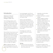# Introduction

Welcome to Warwick District Council's Arts Strategy for 2009–2013.

The Arts Strategy explores current arts provision within the District and includes an Action Plan based on public consultations carried out over summer 2008. The Action Plan is intended to provide a framework for the delivery of the Council's Arts Development service until 2013.

Warwick District Council wants to work with a wide range of partners at local, regional and national level to achieve the objectives set out in the Arts Strategy. We hope that this document will be useful to our partners and potential partners, and to local residents and artists, in understanding our priorities and how we might work together.

What<br>The Art<br>the full r What is meant by 'the arts'? The Arts Development service covers the full range of artforms including visual arts and photography, crafts, 3D arts and sculpture, film and digital arts, dance, theatre, music and opera, street arts, and creative writing.

Public art is the responsibility of Warwick District Council's Economic Development team. However, the Arts Strategy Action Plan looks at how the Arts Development service might feed in to public art initiatives in partnership with the relevant Warwick District Council staff.

The Strategy also considers the relationship of the arts to cultural tourism.

Our consultation process We have tried to consult as many people as possible in producing this Strategy to make sure that it reflects local needs, interests and priorities.

#### We have:

Carried out one-to-one interviews with some of the Arts Development service's key partners and

stakeholders across the district, county and region;

- Held four open public consultation meetings;
- $\bullet$  Held four targeted consultation meetings for organisations and individuals in priority sectors (young people; the third age; creative industries; and strategic agencies);
- Made contact with umbrella groups where this has enabled us to consult a number of organisations and individuals at the same time;
- $\bullet$  Invited people to complete an online questionnaire via the Council's website.

The consultation process involved a wide range of user groups and their representatives, including hard to reach groups. The Themes, Strategic Aims and Objectives of the Arts Strategy Action Plan have been identified through the consultation process.

We asked all consultees for their comments on a draft version of the Arts Strategy before it was published.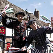

 $\overline{\text{C}\text{K}}$ 

 $c_{\mathbf{1}}$ 

vipuntor<br>1900<br>1900<br>1970 Mili

O.

7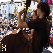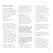# National context

Arts Council of England The Arts Council of England [ACE] is the national development agency for the arts and has nine regional offices. The Arts Council's mission for 2008–2011 is Great Art for Everyone. There are four development priorities:

- Digital opportunity;
- Visual arts;
- Children and young people;
- $\bullet$  London 2012.

The Arts Council has agreed five national objectives with the Department for Culture, Media & Sport [DCMS], against which outcomes are judged:

- $\bullet$  Excellence high quality arts practice and experience;
- $\bullet$  Reach more people attending and taking part in the arts;
- $\bullet$  Engagement more people feel that there are opportunities to enjoy and get actively involved in, arts activities that are personally relevant to them;
- $\bullet$  Diversity arts that reflect the diversity of contemporary England;
- $\bullet$  Innovation artists have the freedom and are challenged to innovate.

ACE receives central government funding which it distributes through managed funds and regular funding for key organisations. The level of central government funding for the arts has been affected by the diversion of resources to London 2012. ACE also distributes lottery funding through the Grants for the Arts programme.

# Department for Culture, Media and Sport

The DCMS is the government department with responsibility for the arts and creative industries. The Department also has responsibility for the National Lottery and for London 2012, among many other areas.

The Department's aim is: We aim to improve the quality of life for all through cultural and sporting activities, to support the pursuit of excellence and to champion the tourism, creative and leisure industries.

The Department's specific aims for the arts are:

The aim of our work is to maximise the contribution from the arts sector to our strategic priorities; Children and Young People; Communities; the Economy; and Delivery.

We also aim to:

- Broaden access for all to a rich and varied artistic and cultural life
- $\bullet$  Ensure that the artistic activity we

fund aspires to be world class

- $\bullet$  Ensure that everyone has the opportunity to develop artistic talent and to achieve excellence in the arts
- $\bullet$  Develop the educational potential of all the nation's artistic and cultural resources
- $\bullet$  Raise standards of artistic and cultural education and training
- **Ensure an adequate skills supply for** the arts and cultural sectors
- **C** Reduce the number of those who feel excluded from society, by using the arts

Cultural Offer (Find Your Talent) The government believes that every child should experience five hours of high quality culture each week, in and out of school.

Ten pilot programmes to test this plan are being run from 2008 to 2011. The pilot programme for the West Midlands is in Telford & Wrekin.

# The National Lottery

the<br>the<br>distribution of the contract of the contract of the contract of the contract of the contract of the contract of the contract of the contract of the contract of the contract of the contract of the contract of the co For every  $£1$  spent on the Lottery, 28 pence is distributed to 'good causes' including arts, sports, heritage, charitable and community projects. A range of national bodies distribute the money:

• The Arts Councils of England, Northern Ireland and Wales, the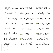UK Film Council, Scottish Arts and Scottish Screen;

- Awards for All (a small grants scheme funded by a number of the other distributors);
- Big Lottery Fund (for charitable and community projects);
- **Heritage Lottery Fund;**
- Millennium Commission (not open to grant applications);
- $\bullet$  NESTA the National Endowment for Science, Technology and the Arts (investing in innovation);
- The Olympic Lottery Distributor for London 2012 (not open to grant applications);
- **UK Sport and Sport England,** sportscotland, the Sports Councils for Northern Ireland and Wales.

The Arts Council of England distributes its lottery funding mainly through the Grants for the Arts and Awards for All programmes.

Grants for the Arts:

One-off (project) grants of between £1,000 and £30,000 for individuals or £1,000 to £100,000 for organisations, for arts projects lasting for up to three years.

• Awards for All:

• Awards for<br>
Grants of bet<br>
to organisatio<br>
enable people Grants of between £300 and £10,000 to organisations for projects that enable people to take part in art, sport, heritage and community activities, and projects that promote education, the environment and health in the local community.

## The Cultural Olympiad

Although London will be the host city for the 2012 Olympic Games, the Games will benefit the whole of the UK. The Cultural Olympiad aims to create a UK-wide celebration of the UK's diverse culture, starting in September 2008 and running through to London 2012.

The Cultural Olympiad incorporates three strands:

- **1.** Mandatory ceremonies;
- **2.** Major projects (most of these have already been identified);
- **3.** A UK-wide cultural programme.
- **4.** UK cultural programme

The Cultural Olympiad values are to:

- $\bullet$  Welcome the world (celebrating the UK's unique internationalism and cultural diversity);
- **•** Inspire and involve young people; and
- Leave a lasting legacy (for example through cultural and sports participation, audience development, cultural skills, capacity building, urban regeneration, tourism and social cohesion and international links).

Non-commercial cultural projects taking

place between September 2008 and September 2012 and reflecting the values of the Cultural Olympiad ( above) can apply to use the 'Inspire mark' on publicity materials and websites. The Inspire mark recognises that a project has been inspired by London 2012 and reflects the values of the Olympic and Paralympic Movements.

Projects must address at least 3 of the seven themes of the Cultural Olympiad:

- Bring together culture and sport;
- **Encourage audiences to take part;**
- Animate and humanise public spaces – through street theatre, public art, circus skills, live big screen sites;
- Use culture and sport to raise issues of environmental sustainability, health and well-being;
- **Honour and share the values for the** Olympic and Paralympic Games;
- **•** Ignite cutting edge collaborations and innovation between communities and cultural sectors; and
- $\bullet$  Enhance the learning, skills and personal development of young people by linking with London 2012 education programmes.

Advice about developing Cultural Olympiad projects is available from a network of Creative Programmers across the UK's regions. The Creative Programmer for the West Midlands is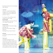Paul Kaynes, based at Arts Council England, West Midlands.

#### Artsmark

Artsmark is a national award scheme managed by Arts Council England that recognises schools with a high level of provision in the arts.

Five schools in Warwick District were awarded Artsmark in 2008: Artsmark gold:

North Leamington Community School & Arts College, Leamington Spa

#### Artsmark silver:

Campion School & Community College, Leamington Spa Kenilworth School & Sports College, Kenilworth Newburgh Primary School, Warwick

#### Artsmark:

St. Augustine's Catholic Primary School, Kenilworth

## NALGAO

The National Association of Local Government Arts Officers champions the provision and support for local arts, artists & creative industries of all types and kinds, professional, amateur & voluntary. NALGAO works through its members, many of which are local government arts & cultural officers.

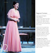

# Regional Context

# Arts Council of England, West Midlands

The Arts Council's office for the West Midlands is in Birmingham. ACE West Midlands provides regular funding to two organisations within the Warwick District: Live & Local and Motionhouse Dance Theatre.

Grants for the Arts awarded to the Warwick District totalled £164,707 in 2007/08. All grants were located within the Warwick and Leamington constituencies, suggesting a need for information and support in other parts of the District about how to access funding from the Arts Council.

Advantage West Midlands Advantage West Midlands is the regional development agency, and exists to 'lead the economic development of the West Midlands, working alongside a wide range of public, private and voluntary sectors partners to help our region to prosper'.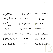# Coventry, Solihull & Warwickshire Partnership (CSWP)

CSWP is the sub-regional strategic partnership for the area, which 'unites all sectors of the area's economy, and seeks to ensure that they are all working together, and pulling in the same direction.'

# Coventry, Solihull & Warwickshire Sub-regional Arts Partnership

The CSW Arts Partnership is a grouping of local authorities that work together to collaborate on partnership initiatives, and share arts knowledge and resources, including funding agreements with 'key clients' working across the sub-region.

Working together has enabled the CSW Arts Partnership to develop a number of strategic arts initiatives benefiting the sub-region. NALGAO and ACE West Midlands have recently applauded the Arts Partnership as a model of good practice. The member authorities, which include Warwick District Council

have recently signed a new Partnership Agreement for 2009–2012.

#### CSW 2012

A number of partnerships, including a Cultural sub-group, have been set up to oversee activity in the sub-region in the lead up to London 2012. The Cultural group has issued some seed funding for arts projects in the area.

#### Warwickshire County Council

The County Arts Service provides a range of arts development resources including an online toolkit for arts projects, an arts contacts database, various Arts in Health initiatives and Social Inclusion & Arts grants, as well as advice, support and signposting to organisations and artists. There is a County Arts Policy in place.

The County Council also provides an Arts in Education team, a Youth Arts worker and the County Music Service.

Local Area Agreement Local Area Agreements are contracts

between central and local government and their partners to deliver the priorities of local people.

The Warwickshire Local Area Agreement 2008–2011 has the following key Themes or 'blocks':

- Stronger Communities
- Safer Communities
- Children & Young People
- Climate Change & Environment
- **Economic Development & Enterprise**
- **Healthier Communities & Older** People

or the Arts Arts development activity has the potential to contribute to the achievement of targets in most of the Local Area Agreement blocks listed above. It is strategically important that the Arts Strategy supports the delivery of these blocks because they will be a focus for local government activity. They have been taken into account when identifying the Key Themes, Strategic Aims and Objectives for the Arts Strategy Action Plan.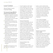# Local Context

## Warwick District Council Corporate Strategy

## The Corporate Strategy 2008–2011 identifies the following objectives:

- Leadership: Provide clear community leadership and effective management of resources whilst delivering responsive public services in an open and transparent manner
- **Housing: Improve housing services** efficiency to meet the housing need of the district
- Culture: Increase participation and attendance in the council's cultural offering
- **•** Environment: Provide high standards of environmental services across the district delivering a sustainable and quality environment
- Development: Creative thriving town centres, keep pleasant villages and make the district an attractive place to live and work
- **Communities: Promote safe, vibrant** and sustainable local communities
- Customers: Improve the efficiency of service delivery to the council's customers.

customers.<br>
Whilst the Ar<br>
has a clear rol Whilst the Arts Development service has a clear role in achieving the

Council's objectives under Culture, it also contributes to many of the Council's other objectives, particularly Development and Communities. This Arts Strategy aims to support the delivery of the corporate objectives. Warwick District Council's Chief Executive, Chris Elliott, is supportive of the Arts Development service and has helped to increase the cultural confidence of the District.

#### Warwick Partnership

The Warwick Partnership is the local strategic partnership (LSP) for the District. It brings together the public, private, community and voluntary sectors to ensure that these services are working in a complementary and supportive way to improve local quality of life. The LSP includes a theme group specific to the cultural sector. The Warwick Partnership published Warwick District 2020, the Community Plan for the District from 2005 to 2020. This will be superseded by the Sustainable Community Strategy to be published at the end of 2008.

# Warwick District Arts Consortium

The Arts Consortium includes representatives from a number of arts organisations and groups within the

district, as well as individual artists. The Consortium meets approximately quarterly, providing an opportunity for the arts community to share information and discuss key issues. Consortium members pay an annual fee for their membership. This membership fund is intended to support strategic development and training for the Consortium.

# Town Centre Managers

Town Centre Managers are now in place in Warwick, Leamington Spa and Kenilworth. These posts work in partnership with other agencies to take forward initiatives and activities that benefit and promote the District's town centres.

# Business Improvement Districts (BID)

Business Improvement Districts seek to deliver improved services in a defined area of a town. This is financed by an increase in business rates for the businesses in that area. The businesses then decide how best to improve their trading environment by agreeing on a range of projects and services that will take place over a specific period of time. A BID is now in place in Leamington Spa and under consideration for Warwick and Kenilworth.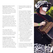South Warwickshire Tourism (Shakespeare Country) Shakespeare Country is a not-forprofit business partnership, set up by the private and public sectors in South Warwickshire, to market and develop tourism within the area.

The company provides a range of marketing and visitor services on behalf of its members and runs the Tourist Information Centre at the Royal Pump Rooms in Leamington Spa. Members include attractions, shops, accommodation providers, restaurants and transport services. The aim is to generate more tourism business for the area.

The company offers a free accommodation booking and conference venue finding service, plus a range of free information on what to see and do in South Warwickshire.

# Central Warwickshire Villages LEADER programme

LEADER is an EU programme to support grassroots-led rural development, to which multi-sector partnerships can bid for initiatives to be delivered by Local Action Groups. The current LEADER programme is part of the 2007–2013 Rural Development

Programme England, managed in the West Midlands by Advantage West Midlands.

A bid was submitted to Advantage West Midlands in January 2008 from the Central Warwickshire Villages LEADER partnership, fronted by Garden Organic, working with Warwickshire County Council and covering the rural parishes of Rugby Borough and Warwick District. This proposal was invited to progress to full bid stage and a Central Warwickshire Villages bid to secure £1.5m funding is being prepared for submission in December 2008. The programme will be delivered over three to four years and will provide seed funding for local projects that fall into the following broad categories:

- $\bullet$  Events and activities that encourage communities to come together to create artworks and performance;
- $\bullet$  Support for communities to develop their own local food production through community gardens;
- Developing links between communities and the land based industries in and around them.

At the time of writing the Arts Strategy, innovative ideas for projects falling into the above categories were being sought for inclusion in the bid.

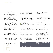# About the district

The district has three main centres of population: Warwick; Royal Leamington Spa and Whitnash; and Kenilworth. The remainder of the District is largely rural, but the cities of Coventry and Birmingham are within comfortable travelling distance. The M40 and A46 run through the district, providing convenient commuting. The District is bordered by the Borough of Rugby to the east; the city of Coventry and Solihull Metropolitan Borough to the north; and the District of Stratford-upon-Avon to the south and west.

The District's population is expected to expand over the next few years. An estimated 90 hectares of land for employment uses and land for 10,800 new homes is needed before 2026.

new homes is needer<br>
The wards of Bruns<br>
Willes (all in Leamin<br>
All in Leamin<br>
All in Leamin<br>
All in Leamin The wards of Brunswick, Crown and Willes (all in Leamington Spa) rank

among the 30% most deprived wards in England2 . Otherwise, there is no significant urban or rural deprivation.

## Population Statistics Warwick District has a population of 134,600<sup>3</sup>. Residents are aged as follows:

- 63.7% of the District's population are of 'working age'4 ;
- $\bullet$  17.1% are under 16;
- $\bullet$  19.1% are aged 60+ (females) / 65+ (males).

The number of children under 16 is slightly lower than the national average, but the results are otherwise typical of the national age profile.

85.4% of the District's population are White British. Other key ethnic groups include Asian/Asian British people (5.2%) and 'Other White' groups  $(3.7\%)^5$ . The District is home

#### 2 Source: IMD 2004

3 Source: Warwickshire Observatory, mid-2007 estimates

4 16–59 for females, 16–64 for males. Source: Warwickshire Observatory, mid-2007 estimates to growing Portuguese and Eastern European communities.

The 2001 Census recorded that the District has a significant Sikh population (3.37% compared to 0.67% nationally) but a significantly lower than average Muslim population (0.5% compared to  $3.1\%$  nationally)<sup>6</sup>.

92.65% of residents rated their health as 'good' or 'fairly good'. This was higher than the national average<sup>7</sup>.

The number of economically active residents is higher than average and residents were statistically well educated – in 2001, the number of people qualified to degree level was 29.04% compared to 19.9% nationally. The percentage of households with their own car was also higher than the national average.

5 Source: Warwickshire Observatory, mid-2007 estimates

- 6 Source: 2001 Census
- 7 Source: 2001 Census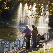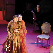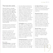# The local arts scene

Warwick District is culturally rich and has a vibrant and active local arts community together with a confident and high profile professional arts sector. The District is proud of its cultural heritage and boasts a high level of arts provision. It compares well to other areas. Music and visual arts are particularly strong. There are also a large number of annual cultural festivals.

The District Council's commitment to and investment in the arts has been important in maintaining this excellent level of arts provision.

Activity that is currently less well developed includes grass roots community work with hard to reach groups, including black and minority ethnic communities; public art as a strategic area of work; innovation and risk within the arts; and monitoring and evaluation of arts activity.

#### Key venues

The Royal Spa Centre in Leamington Spa was built in 1972 and seats 794 people. The Centre presents a varied programme of mainstream (middle of the road) professional entertainment, mainly 'one-nighters'. The Centre also acts as a community facility and is regularly hired by local organisations for exhibitions, annual shows, speech days, meetings and conferences, concerts and musicals, schools productions and so forth. The Royal Spa Centre has a database of 58,000 attenders and draws almost half (49%) of its audiences from outside the District. The Royal Spa Centre is owned and operated by Warwick District Council.

The Assembly opened in Leamington Spa in 2008. It is a contemporary music venue with a capacity of 1,000 standing (500 seated). The art deco building has undergone an exceptional £4million refurbishment with interior design by Laurence Lewellyn Bowen. The Assembly has a youth focus and intends to act as a training facility for young people wishing to work in the music industry. It is an independent, privately owned and run facility.

The Royal Pump Rooms at Leamington Spa incorporates the Leamington Spa Art Gallery & Museum as well as a library, Tourist Information Centre, public assembly rooms available for hire (used for public and private events, including arts activity), and a café. The

Art Gallery & Museum in the Royal Pump Rooms are run by Warwick District Council and present professional exhibitions and community/education programmes.

Warwick Arts Centre is situated just outside the boundaries of the District, at (and owned by) the University of Warwick, on the outskirts of Coventry. Warwick Arts Centre incorporates a concert hall, two theatres, a cinema, gallery, and conference room as well as hospitality suites, a restaurant, cafe, shops, and two bars. It is the largest Arts Centre in the Midlands and presents a varied contemporary arts programme.

Warwick Castle, a major tourist attraction, is in the District and is privately managed by Merlin Entertainments Group. Kenilworth Castle, another of the District's key attractions, is managed by English Heritage.

Final<br>
Indian as well as<br>
the Spa Centre<br>
provides a varied<br>
The Spa Centre<br>
Spa Centre<br>
Spa Centre<br>
The Spa Centre<br>
The Spa Centre<br>
The Spa Centre<br>
Spa Centre<br>
The Spa Centre<br>
The Spa Centre<br>
The Spa Centre<br>
The Spa Centr During the consultation process for the Arts Strategy, many stakeholders expressed a desire for a major concert hall locally. However, the district is well situated for access to major venues in Coventry and Birmingham as well as Warwick Arts Centre. The Spa Centre is a large venue and provides a varied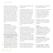programme of mainstream arts and entertainment as well as the opportunity for community hire. The area is, in fact, well served by large-scale venues and it is extremely unlikely that funding could be justified to support a new major concert hall locally. The Arts Strategy Action Plan does, however, propose an audit of venues and facilities in the District, to increase awareness of what is available. This should include the schools, churches and community halls where much valued arts activity takes place.

## Cultural Quarter

hire charges, these are<br>have been resolved. H<br>is on the upper floor<br>some access issues. The A Cultural Quarter for the area is being developed in south Leamington, with its hub at Spencer Yard. Phase 1 of the works has included the creation of a large courtyard area with refurbished buildings housing a number of arts organisations including Motionhouse Dance Theatre, Hybrid Arts, Leamington Studio Artists, Sez-U and Heartbreak Productions. There is also a large hall (North Hall) available for hire for arts activities, with bookings managed by Heartbreak Productions. Although there were some issues over hire charges, these are now believed to have been resolved. However, the hall is on the upper floor and does present some access issues. The dance studio

within the Motionhouse offices is also available for hire.

Advantage West Midlands has made an offer of funding for Phase 2 of the redevelopment works, although some details were still under negotiation at the time of writing. This will include redeveloping the former church on Spencer Street (at the entrance to Spencer Yard) to house the Loft Theatre and offer space for use by other arts groups. The site currently occupied by the Loft Theatre will be redeveloped for retail, office and creative industry space.

The Cultural Quarter and the redevelopment of Spencer Yard present exciting arts opportunities and potential for the area. However, the site currently suffers from poor public access, signage and lighting, and a lack of public information/understanding about what the Cultural Quarter is and its potential benefits to the area. The Arts Strategy Action Plan suggests a number of steps that might be taken towards addressing these issues.

Phase 2 of the work on the Cultural Quarter is being led by Warwick District Council working in partnership with The Loft Theatre Company and City

Spirit Developments, with funding from Advantage West Midlands.

In nearby Court Street, Warwick District Council is renovating railway arches as part of a Creative Arches business space project, again largely funded by Advantage West Midlands. There is potential for the two projects to complement one another.

Regeneration projects in other parts of the District include the possibility of developing a Civic and Arts Centre in Kenilworth.

## Theatre

Playbox Theatre is a professional company providing skills development and participation in the performing arts for children and young people, including the Dream Factory, a purpose-built performance centre in Warwick exclusively for young people.

Heartbreak Productions is a professional touring theatre company based at Spencer Yard in Leamington Spa and specialising in open-air performance.

Also based at Spencer Yard, Sez-U Community Theatre is a professional participatory arts organisation creating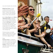new work with adults in the community.

Bridge House Theatre is located at Warwick School and presents professional and amateur music and theatre. A theatre is also being built as part of the new North Leamington School, currently under construction.

Both the Priory Theatre and the Talisman Theatre & Arts Centre in Kenilworth are run by their members and present their own amateur dramatic productions, as does the Loft Theatre in Leamington Spa. All these theatres occupy their own premises. The Loft Theatre will be moving to the former United Reform Church building as part of Phase 2 of the Cultural Quarter development in Spencer Yard, Leamington Spa.

Professional theatres are situated nearby in Stratford-upon-Avon (Royal Shakespeare Theatre, Swan Theatre) and Coventry (Belgrade Theatre).

#### Music

Armonico Consort is a professional choir based in Warwick. Armonico also has its own orchestra, opera company, education programme and the AC Academy (a children's choir). The organisation presents 60 concerts a year all over the world.

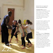

#### Warwick Music Live organises the Warwick International Festival .

Leamington Music organises performances of international chamber music and early music in Warwick District, North Warwickshire, Rugby and Stratford. It aims to 'maintain Leamington and district as a musical centre dedicated to promoting excellent music.'

The District boasts a significant number of amateur, semi-professional and professional music societies. The Warwick District Music Promoters' Forum has over 80 member groups, and produces the 'Music to Your Ears' events guide three times a year, and an 'anti-clash' diary for promoters.

## Dance

The District is home to Motionhouse Dance Theatre, a nationally acclaimed contemporary dance company based in Spencer Yard, Leamington Spa. Motionhouse creates innovative work for middle scale touring and for performance in public places and spaces, including street festivals, large-scale dance spectacles and site-specific events. Motionhouse also delivers an extensive education and participation programme for all ages and abilities.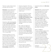There are a number of dance schools and studios within the District.

Dancescape is the sub-regional dance development programme and has proved extremely successful. It is currently project funded through Grants for the Arts and by the County and District Councils, but is expected to become self-sustaining by 2009, when it may apply for Key Client status through the CSW Arts Partnership.

Visual arts, crafts, & photography The biennial Warwickshire Artsweek, an open studios event, provides an opportunity for artists, makers and art groups within the district to promote their work. The District is well represented within this countywide event, with 67 exhibitors (out of a total 147) in Artsweek 2008.

Professional exhibitions are shown at the Art Gallery & Museum in the Royal Pump Rooms, Leamington Spa and just outside the district at Rugby Art Gallery & Museum, as well as in private (commercial) galleries. Warwick District Council's former Art Gallery on Avenue Road, Leamington Spa, is still in use as a local exhibition space, managed by Community Arts Workshop, although this is a

temporary arrangement. There are a number of community venues available for hire by groups wishing to exhibit; the District Council can advise on suitable venues.

There are a number of art societies operating in the District, including Leamington Studio Artists and the Leamington Spa Photographic Society. The Elephant Wash photography project in Leamington Spa has been initiated by the Spencer Yard artist in residence (see below) and is ongoing until 2009.

Film, media and digital arts Mainstream cinema is available at the Apollo in Leamington Spa. Some arthouse film is screened in the Royal Spa Centre's 200-seat Royal Cinema, and arthouse cinema is also screened at the Warwick Arts Centre just outside the District.

Leamington Spa Art Gallery & Museum in the Royal Pump Rooms currently hosts a weekly 'Thursday Flickers' event for local film and video makers to showcase their work.

The area is home to a significant number of digital media and gaming companies with national and

international profile, such as Blitz Games Studios.

Hybrid Arts offers vocational education and training programmes for young people (particularly those 'outside the system' or not in education, employment or training) in music technology, filmmaking, digital arts, graphic and web design and animation. Touch Radio 107.3fm, a new local radio station, was launched in 2008. The wealth of historic buildings in the area (approximately 1,500 listed buildings) makes it a desirable film location, and TV series including Pride and Prejudice and Moll Flanders have been filmed in the District.

#### Artist in residence

The artist in residence at Spencer Yard for 2007-2009 is Anand Chhabra. Anand is a photographer and visual artist and has been working with the local community, and particularly minority ethnic groups, to increase engagement with the arts and between Spencer Yard residents and the local community. At the time of writing, no resources had been identified to extend the artist in residence role after 2009.

#### Literature

e to an annual The District is home to an annual